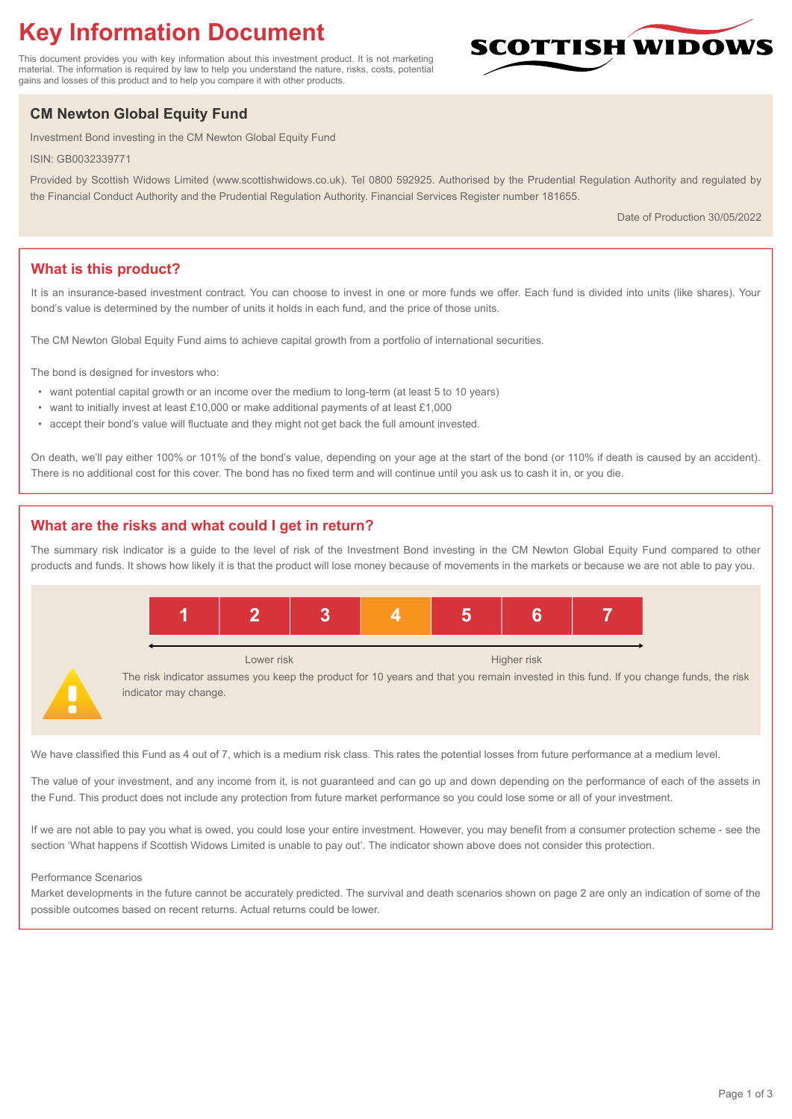# **Key Information Document**

This document provides you with key information about this investment product. It is not marketing material. The information is required by law to help you understand the nature, risks, costs, potential gains and losses of this product and to help you compare it with other products.

## **CM Newton Global Equity Fund**

Investment Bond investing in the CM Newton Global Equity Fund

ISIN: GB0032339771

Provided by Scottish Widows Limited (www.scottishwidows.co.uk). Tel 0800 592925. Authorised by the Prudential Regulation Authority and regulated by the Financial Conduct Authority and the Prudential Regulation Authority. Financial Services Register number 181655.

Date of Production 30/05/2022

**SCOTTISH WIDOW** 

## **What is this product?**

It is an insurance-based investment contract. You can choose to invest in one or more funds we offer. Each fund is divided into units (like shares). Your bond's value is determined by the number of units it holds in each fund, and the price of those units.

The CM Newton Global Equity Fund aims to achieve capital growth from a portfolio of international securities.

The bond is designed for investors who:

- want potential capital growth or an income over the medium to long-term (at least 5 to 10 years)
- want to initially invest at least £10,000 or make additional payments of at least £1,000
- accept their bond's value will fluctuate and they might not get back the full amount invested.

On death, we'll pay either 100% or 101% of the bond's value, depending on your age at the start of the bond (or 110% if death is caused by an accident). There is no additional cost for this cover. The bond has no fixed term and will continue until you ask us to cash it in, or you die.

## **What are the risks and what could I get in return?**

The summary risk indicator is a guide to the level of risk of the Investment Bond investing in the CM Newton Global Equity Fund compared to other products and funds. It shows how likely it is that the product will lose money because of movements in the markets or because we are not able to pay you.



We have classified this Fund as 4 out of 7, which is a medium risk class. This rates the potential losses from future performance at a medium level.

The value of your investment, and any income from it, is not guaranteed and can go up and down depending on the performance of each of the assets in the Fund. This product does not include any protection from future market performance so you could lose some or all of your investment.

If we are not able to pay you what is owed, you could lose your entire investment. However, you may benefit from a consumer protection scheme - see the section 'What happens if Scottish Widows Limited is unable to pay out'. The indicator shown above does not consider this protection.

#### Performance Scenarios

Market developments in the future cannot be accurately predicted. The survival and death scenarios shown on page 2 are only an indication of some of the possible outcomes based on recent returns. Actual returns could be lower.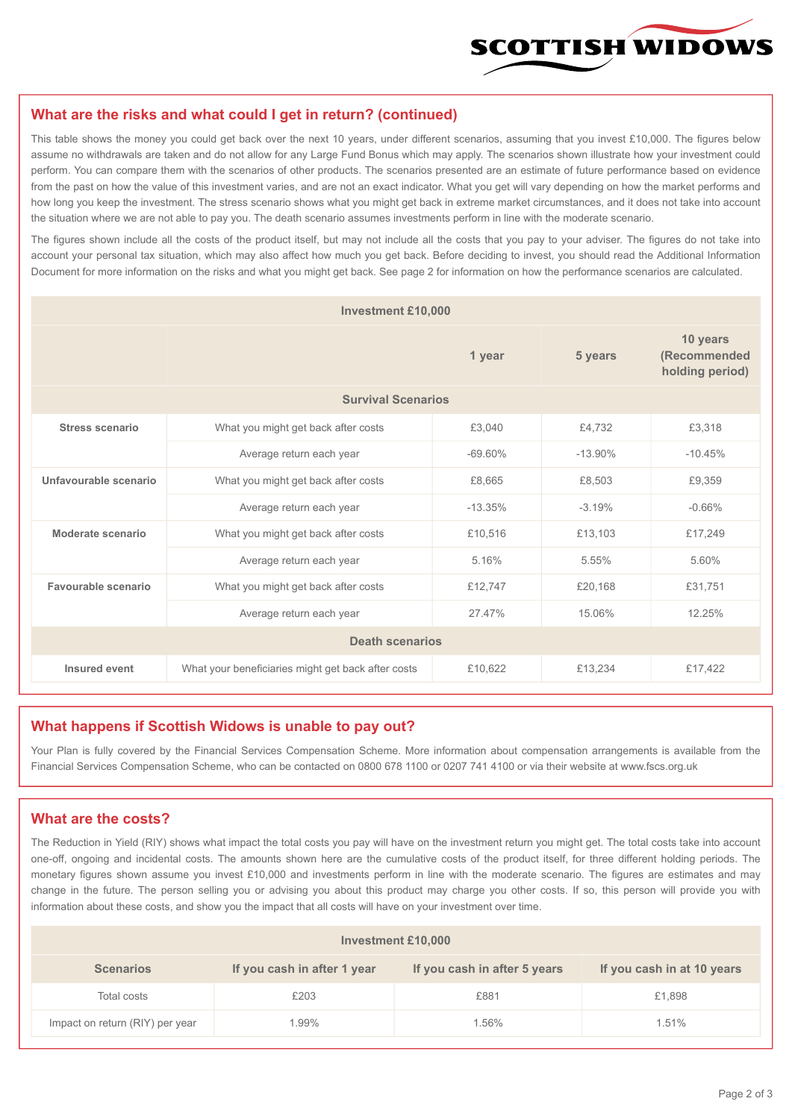

#### **What are the risks and what could I get in return? (continued)**

This table shows the money you could get back over the next 10 years, under different scenarios, assuming that you invest £10,000. The figures below assume no withdrawals are taken and do not allow for any Large Fund Bonus which may apply. The scenarios shown illustrate how your investment could perform. You can compare them with the scenarios of other products. The scenarios presented are an estimate of future performance based on evidence from the past on how the value of this investment varies, and are not an exact indicator. What you get will vary depending on how the market performs and how long you keep the investment. The stress scenario shows what you might get back in extreme market circumstances, and it does not take into account the situation where we are not able to pay you. The death scenario assumes investments perform in line with the moderate scenario.

The figures shown include all the costs of the product itself, but may not include all the costs that you pay to your adviser. The figures do not take into account your personal tax situation, which may also affect how much you get back. Before deciding to invest, you should read the Additional Information Document for more information on the risks and what you might get back. See page 2 for information on how the performance scenarios are calculated.

| <b>Investment £10,000</b> |                                                    |           |            |                                             |  |  |
|---------------------------|----------------------------------------------------|-----------|------------|---------------------------------------------|--|--|
|                           | 1 year                                             |           | 5 years    | 10 years<br>(Recommended<br>holding period) |  |  |
| <b>Survival Scenarios</b> |                                                    |           |            |                                             |  |  |
| <b>Stress scenario</b>    | £3,040<br>What you might get back after costs      |           | £4.732     | £3,318                                      |  |  |
|                           | $-69.60\%$<br>Average return each year             |           | $-13.90\%$ | $-10.45%$                                   |  |  |
| Unfavourable scenario     | What you might get back after costs<br>£8,665      |           | £8,503     | £9,359                                      |  |  |
|                           | Average return each year                           | $-13.35%$ | $-3.19%$   | $-0.66%$                                    |  |  |
| Moderate scenario         | What you might get back after costs                | £10,516   | £13,103    | £17,249                                     |  |  |
|                           | Average return each year                           | 5.16%     | 5.55%      | 5.60%                                       |  |  |
| Favourable scenario       | What you might get back after costs                | £12,747   | £20,168    | £31,751                                     |  |  |
| Average return each year  |                                                    | 27 47%    | 15.06%     | 12.25%                                      |  |  |
| <b>Death scenarios</b>    |                                                    |           |            |                                             |  |  |
| Insured event             | What your beneficiaries might get back after costs | £10,622   | £13,234    | £17,422                                     |  |  |

#### **What happens if Scottish Widows is unable to pay out?**

Your Plan is fully covered by the Financial Services Compensation Scheme. More information about compensation arrangements is available from the Financial Services Compensation Scheme, who can be contacted on 0800 678 1100 or 0207 741 4100 or via their website at www.fscs.org.uk

#### **What are the costs?**

The Reduction in Yield (RIY) shows what impact the total costs you pay will have on the investment return you might get. The total costs take into account one-off, ongoing and incidental costs. The amounts shown here are the cumulative costs of the product itself, for three different holding periods. The monetary figures shown assume you invest £10,000 and investments perform in line with the moderate scenario. The figures are estimates and may change in the future. The person selling you or advising you about this product may charge you other costs. If so, this person will provide you with information about these costs, and show you the impact that all costs will have on your investment over time.

| <b>Investment £10,000</b>       |                             |                              |                            |  |  |  |
|---------------------------------|-----------------------------|------------------------------|----------------------------|--|--|--|
| <b>Scenarios</b>                | If you cash in after 1 year | If you cash in after 5 years | If you cash in at 10 years |  |  |  |
| Total costs                     | £203                        | £881                         | £1,898                     |  |  |  |
| Impact on return (RIY) per year | 1.99%                       | 1.56%                        | 1.51%                      |  |  |  |